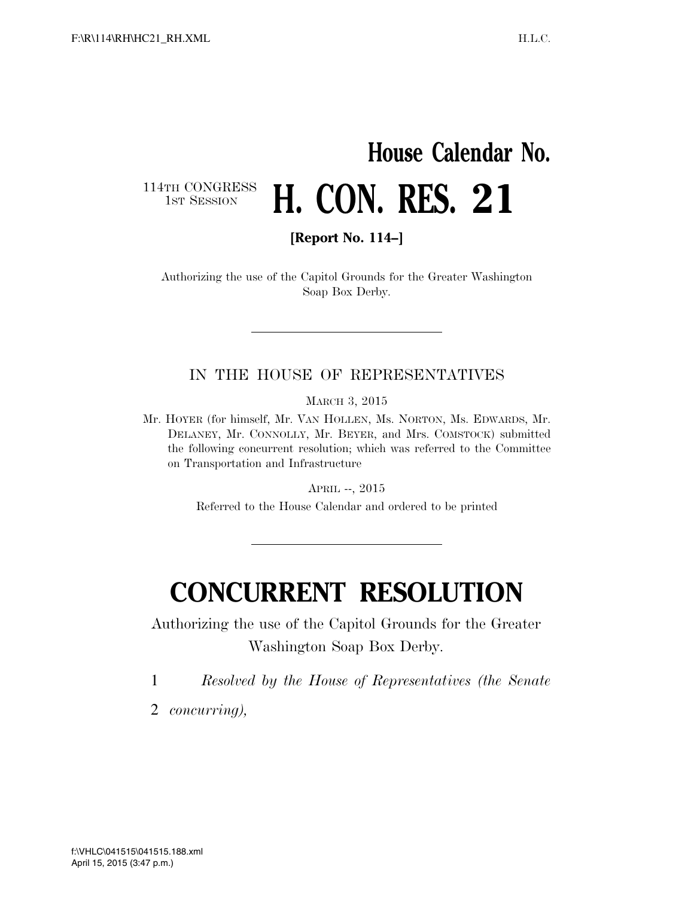# **House Calendar No. H. CON. RES. 21**

114TH CONGRESS<br>1st Session

**[Report No. 114–]** 

Authorizing the use of the Capitol Grounds for the Greater Washington Soap Box Derby.

#### IN THE HOUSE OF REPRESENTATIVES

MARCH 3, 2015

Mr. HOYER (for himself, Mr. VAN HOLLEN, Ms. NORTON, Ms. EDWARDS, Mr. DELANEY, Mr. CONNOLLY, Mr. BEYER, and Mrs. COMSTOCK) submitted the following concurrent resolution; which was referred to the Committee on Transportation and Infrastructure

APRIL --, 2015

Referred to the House Calendar and ordered to be printed

## **CONCURRENT RESOLUTION**

Authorizing the use of the Capitol Grounds for the Greater Washington Soap Box Derby.

1 *Resolved by the House of Representatives (the Senate* 

2 *concurring),*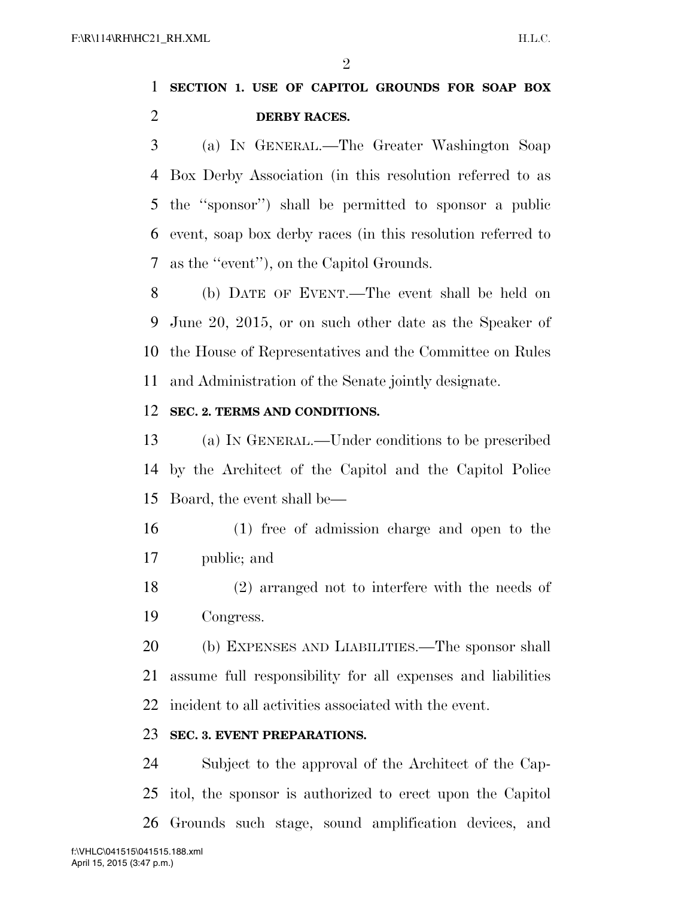$\mathfrak{D}$ 

### **SECTION 1. USE OF CAPITOL GROUNDS FOR SOAP BOX DERBY RACES.**

 (a) IN GENERAL.—The Greater Washington Soap Box Derby Association (in this resolution referred to as the ''sponsor'') shall be permitted to sponsor a public event, soap box derby races (in this resolution referred to as the ''event''), on the Capitol Grounds.

 (b) DATE OF EVENT.—The event shall be held on June 20, 2015, or on such other date as the Speaker of the House of Representatives and the Committee on Rules and Administration of the Senate jointly designate.

#### **SEC. 2. TERMS AND CONDITIONS.**

 (a) IN GENERAL.—Under conditions to be prescribed by the Architect of the Capitol and the Capitol Police Board, the event shall be—

- (1) free of admission charge and open to the public; and
- (2) arranged not to interfere with the needs of Congress.

 (b) EXPENSES AND LIABILITIES.—The sponsor shall assume full responsibility for all expenses and liabilities incident to all activities associated with the event.

#### **SEC. 3. EVENT PREPARATIONS.**

 Subject to the approval of the Architect of the Cap- itol, the sponsor is authorized to erect upon the Capitol Grounds such stage, sound amplification devices, and